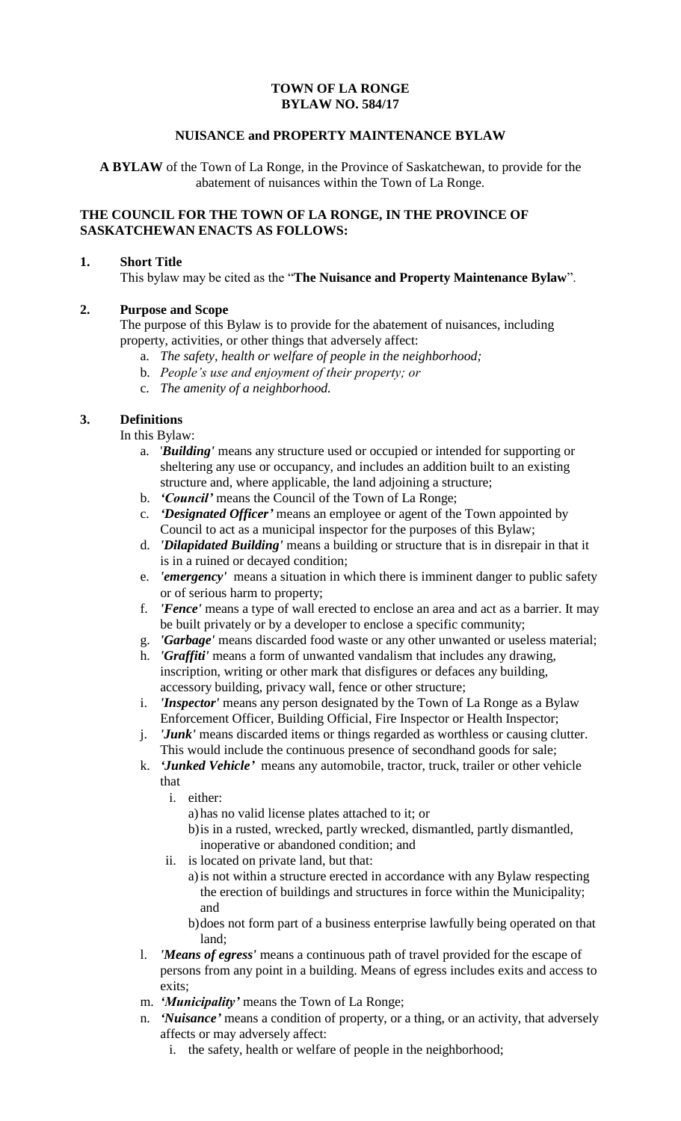# **TOWN OF LA RONGE BYLAW NO. 584/17**

# **NUISANCE and PROPERTY MAINTENANCE BYLAW**

**A BYLAW** of the Town of La Ronge, in the Province of Saskatchewan, to provide for the abatement of nuisances within the Town of La Ronge.

## **THE COUNCIL FOR THE TOWN OF LA RONGE, IN THE PROVINCE OF SASKATCHEWAN ENACTS AS FOLLOWS:**

### **1. Short Title**

This bylaw may be cited as the "**The Nuisance and Property Maintenance Bylaw**".

## **2. Purpose and Scope**

The purpose of this Bylaw is to provide for the abatement of nuisances, including property, activities, or other things that adversely affect:

- a. *The safety, health or welfare of people in the neighborhood;*
- b. *People's use and enjoyment of their property; or*
- c. *The amenity of a neighborhood.*

# **3. Definitions**

In this Bylaw:

- a. '*Building'* means any structure used or occupied or intended for supporting or sheltering any use or occupancy, and includes an addition built to an existing structure and, where applicable, the land adjoining a structure;
- b. *'Council'* means the Council of the Town of La Ronge;
- c. *'Designated Officer'* means an employee or agent of the Town appointed by Council to act as a municipal inspector for the purposes of this Bylaw;
- d. *'Dilapidated Building'* means a building or structure that is in disrepair in that it is in a ruined or decayed condition;
- e. *'emergency'* means a situation in which there is imminent danger to public safety or of serious harm to property;
- f. *'Fence'* means a type of wall erected to enclose an area and act as a barrier. It may be built privately or by a developer to enclose a specific community;
- g. *'Garbage'* means discarded food waste or any other unwanted or useless material;
- h. *'Graffiti'* means a form of unwanted vandalism that includes any drawing, inscription, writing or other mark that disfigures or defaces any building, accessory building, privacy wall, fence or other structure;
- i. *'Inspector'* means any person designated by the Town of La Ronge as a Bylaw Enforcement Officer, Building Official, Fire Inspector or Health Inspector;
- j. *'Junk'* means discarded items or things regarded as worthless or causing clutter. This would include the continuous presence of secondhand goods for sale;
- k. *'Junked Vehicle'* means any automobile, tractor, truck, trailer or other vehicle that
	- i. either:
		- a) has no valid license plates attached to it; or
		- b)is in a rusted, wrecked, partly wrecked, dismantled, partly dismantled, inoperative or abandoned condition; and
	- ii. is located on private land, but that:
		- a)is not within a structure erected in accordance with any Bylaw respecting the erection of buildings and structures in force within the Municipality; and
		- b)does not form part of a business enterprise lawfully being operated on that land;
- l. *'Means of egress'* means a continuous path of travel provided for the escape of persons from any point in a building. Means of egress includes exits and access to exits;
- m. *'Municipality'* means the Town of La Ronge;
- n. *'Nuisance'* means a condition of property, or a thing, or an activity, that adversely affects or may adversely affect:
	- i. the safety, health or welfare of people in the neighborhood;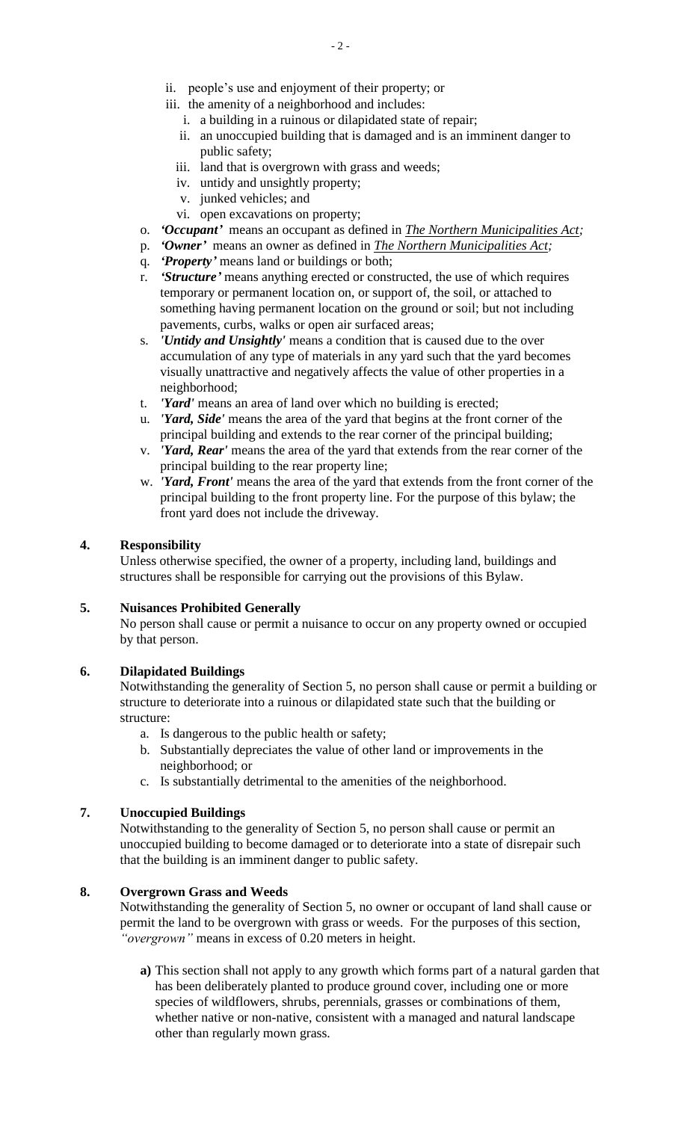- ii. people's use and enjoyment of their property; or
- iii. the amenity of a neighborhood and includes:
	- i. a building in a ruinous or dilapidated state of repair;
	- ii. an unoccupied building that is damaged and is an imminent danger to public safety;
	- iii. land that is overgrown with grass and weeds;
	- iv. untidy and unsightly property;
	- v. junked vehicles; and
	- vi. open excavations on property;
- o. *'Occupant'* means an occupant as defined in *The Northern Municipalities Act;*
- p. *'Owner'* means an owner as defined in *The Northern Municipalities Act;*
- q. *'Property'* means land or buildings or both;
- r. *'Structure'* means anything erected or constructed, the use of which requires temporary or permanent location on, or support of, the soil, or attached to something having permanent location on the ground or soil; but not including pavements, curbs, walks or open air surfaced areas;
- s. *'Untidy and Unsightly'* means a condition that is caused due to the over accumulation of any type of materials in any yard such that the yard becomes visually unattractive and negatively affects the value of other properties in a neighborhood;
- t. *'Yard'* means an area of land over which no building is erected;
- u. *'Yard, Side'* means the area of the yard that begins at the front corner of the principal building and extends to the rear corner of the principal building;
- v. *'Yard, Rear'* means the area of the yard that extends from the rear corner of the principal building to the rear property line;
- w. *'Yard, Front'* means the area of the yard that extends from the front corner of the principal building to the front property line. For the purpose of this bylaw; the front yard does not include the driveway.

### **4. Responsibility**

Unless otherwise specified, the owner of a property, including land, buildings and structures shall be responsible for carrying out the provisions of this Bylaw.

### **5. Nuisances Prohibited Generally**

No person shall cause or permit a nuisance to occur on any property owned or occupied by that person.

### **6. Dilapidated Buildings**

Notwithstanding the generality of Section 5, no person shall cause or permit a building or structure to deteriorate into a ruinous or dilapidated state such that the building or structure:

- a. Is dangerous to the public health or safety;
- b. Substantially depreciates the value of other land or improvements in the neighborhood; or
- c. Is substantially detrimental to the amenities of the neighborhood.

### **7. Unoccupied Buildings**

Notwithstanding to the generality of Section 5, no person shall cause or permit an unoccupied building to become damaged or to deteriorate into a state of disrepair such that the building is an imminent danger to public safety.

## **8. Overgrown Grass and Weeds**

Notwithstanding the generality of Section 5, no owner or occupant of land shall cause or permit the land to be overgrown with grass or weeds. For the purposes of this section, *"overgrown"* means in excess of 0.20 meters in height.

**a)** This section shall not apply to any growth which forms part of a natural garden that has been deliberately planted to produce ground cover, including one or more species of wildflowers, shrubs, perennials, grasses or combinations of them, whether native or non-native, consistent with a managed and natural landscape other than regularly mown grass.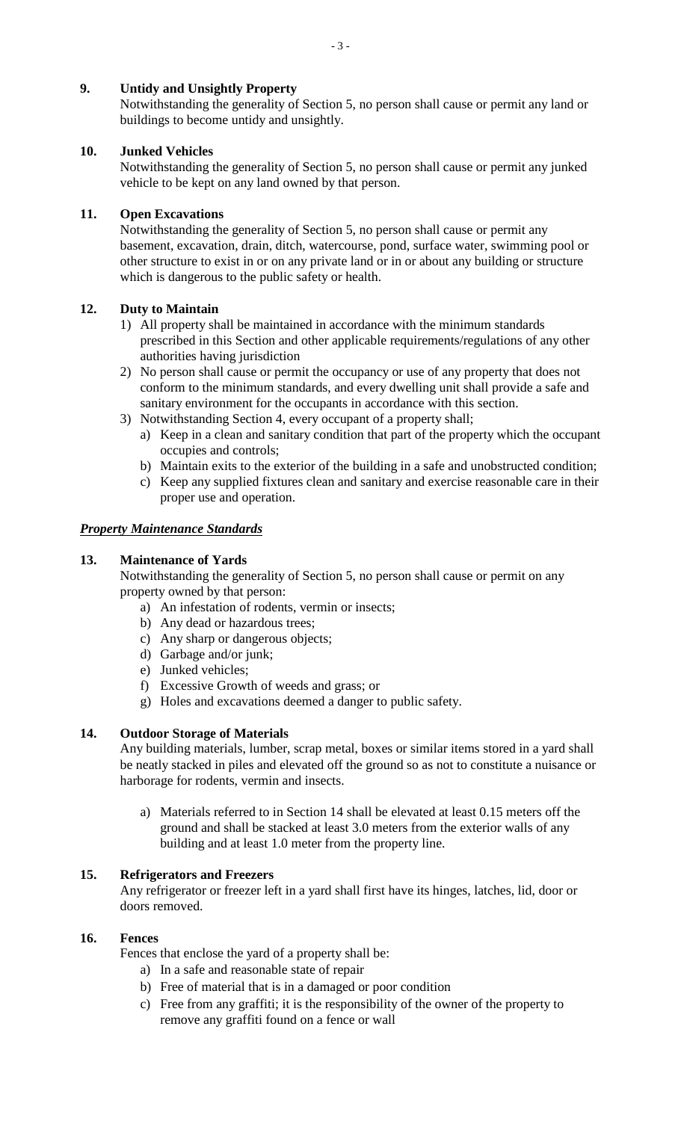# **9. Untidy and Unsightly Property**

Notwithstanding the generality of Section 5, no person shall cause or permit any land or buildings to become untidy and unsightly.

# **10. Junked Vehicles**

Notwithstanding the generality of Section 5, no person shall cause or permit any junked vehicle to be kept on any land owned by that person.

# **11. Open Excavations**

Notwithstanding the generality of Section 5, no person shall cause or permit any basement, excavation, drain, ditch, watercourse, pond, surface water, swimming pool or other structure to exist in or on any private land or in or about any building or structure which is dangerous to the public safety or health.

# **12. Duty to Maintain**

- 1) All property shall be maintained in accordance with the minimum standards prescribed in this Section and other applicable requirements/regulations of any other authorities having jurisdiction
- 2) No person shall cause or permit the occupancy or use of any property that does not conform to the minimum standards, and every dwelling unit shall provide a safe and sanitary environment for the occupants in accordance with this section.
- 3) Notwithstanding Section 4, every occupant of a property shall;
	- a) Keep in a clean and sanitary condition that part of the property which the occupant occupies and controls;
	- b) Maintain exits to the exterior of the building in a safe and unobstructed condition;
	- c) Keep any supplied fixtures clean and sanitary and exercise reasonable care in their proper use and operation.

# *Property Maintenance Standards*

# **13. Maintenance of Yards**

Notwithstanding the generality of Section 5, no person shall cause or permit on any property owned by that person:

- a) An infestation of rodents, vermin or insects;
- b) Any dead or hazardous trees;
- c) Any sharp or dangerous objects;
- d) Garbage and/or junk;
- e) Junked vehicles;
- f) Excessive Growth of weeds and grass; or
- g) Holes and excavations deemed a danger to public safety.

# **14. Outdoor Storage of Materials**

Any building materials, lumber, scrap metal, boxes or similar items stored in a yard shall be neatly stacked in piles and elevated off the ground so as not to constitute a nuisance or harborage for rodents, vermin and insects.

a) Materials referred to in Section 14 shall be elevated at least 0.15 meters off the ground and shall be stacked at least 3.0 meters from the exterior walls of any building and at least 1.0 meter from the property line.

# **15. Refrigerators and Freezers**

Any refrigerator or freezer left in a yard shall first have its hinges, latches, lid, door or doors removed.

## **16. Fences**

Fences that enclose the yard of a property shall be:

- a) In a safe and reasonable state of repair
- b) Free of material that is in a damaged or poor condition
- c) Free from any graffiti; it is the responsibility of the owner of the property to remove any graffiti found on a fence or wall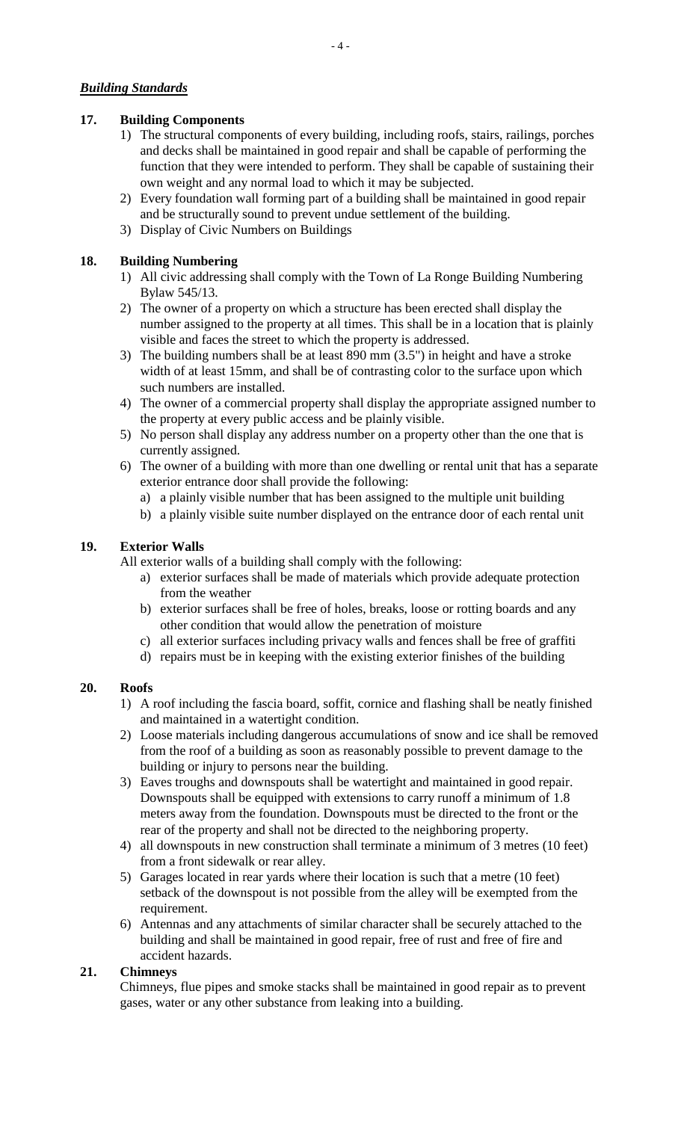# *Building Standards*

## **17. Building Components**

- 1) The structural components of every building, including roofs, stairs, railings, porches and decks shall be maintained in good repair and shall be capable of performing the function that they were intended to perform. They shall be capable of sustaining their own weight and any normal load to which it may be subjected.
- 2) Every foundation wall forming part of a building shall be maintained in good repair and be structurally sound to prevent undue settlement of the building.
- 3) Display of Civic Numbers on Buildings

## **18. Building Numbering**

- 1) All civic addressing shall comply with the Town of La Ronge Building Numbering Bylaw 545/13.
- 2) The owner of a property on which a structure has been erected shall display the number assigned to the property at all times. This shall be in a location that is plainly visible and faces the street to which the property is addressed.
- 3) The building numbers shall be at least 890 mm (3.5") in height and have a stroke width of at least 15mm, and shall be of contrasting color to the surface upon which such numbers are installed.
- 4) The owner of a commercial property shall display the appropriate assigned number to the property at every public access and be plainly visible.
- 5) No person shall display any address number on a property other than the one that is currently assigned.
- 6) The owner of a building with more than one dwelling or rental unit that has a separate exterior entrance door shall provide the following:
	- a) a plainly visible number that has been assigned to the multiple unit building
	- b) a plainly visible suite number displayed on the entrance door of each rental unit

## **19. Exterior Walls**

All exterior walls of a building shall comply with the following:

- a) exterior surfaces shall be made of materials which provide adequate protection from the weather
- b) exterior surfaces shall be free of holes, breaks, loose or rotting boards and any other condition that would allow the penetration of moisture
- c) all exterior surfaces including privacy walls and fences shall be free of graffiti
- d) repairs must be in keeping with the existing exterior finishes of the building

## **20. Roofs**

- 1) A roof including the fascia board, soffit, cornice and flashing shall be neatly finished and maintained in a watertight condition.
- 2) Loose materials including dangerous accumulations of snow and ice shall be removed from the roof of a building as soon as reasonably possible to prevent damage to the building or injury to persons near the building.
- 3) Eaves troughs and downspouts shall be watertight and maintained in good repair. Downspouts shall be equipped with extensions to carry runoff a minimum of 1.8 meters away from the foundation. Downspouts must be directed to the front or the rear of the property and shall not be directed to the neighboring property.
- 4) all downspouts in new construction shall terminate a minimum of 3 metres (10 feet) from a front sidewalk or rear alley.
- 5) Garages located in rear yards where their location is such that a metre (10 feet) setback of the downspout is not possible from the alley will be exempted from the requirement.
- 6) Antennas and any attachments of similar character shall be securely attached to the building and shall be maintained in good repair, free of rust and free of fire and accident hazards.

## **21. Chimneys**

Chimneys, flue pipes and smoke stacks shall be maintained in good repair as to prevent gases, water or any other substance from leaking into a building.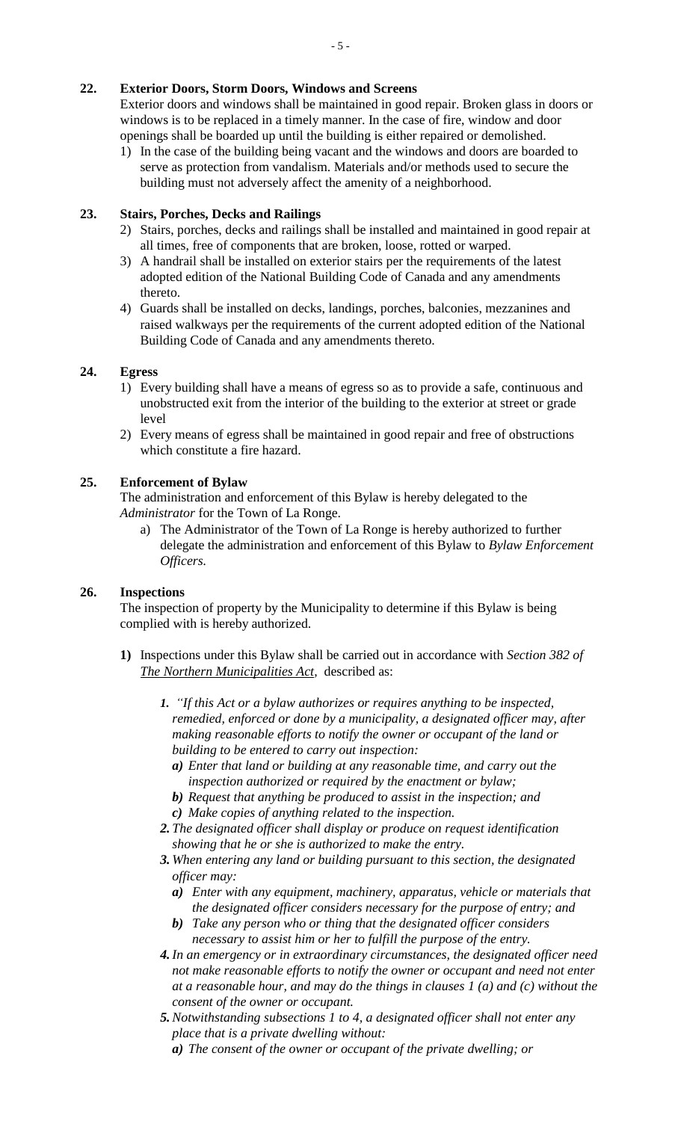# **22. Exterior Doors, Storm Doors, Windows and Screens**

Exterior doors and windows shall be maintained in good repair. Broken glass in doors or windows is to be replaced in a timely manner. In the case of fire, window and door openings shall be boarded up until the building is either repaired or demolished.

1) In the case of the building being vacant and the windows and doors are boarded to serve as protection from vandalism. Materials and/or methods used to secure the building must not adversely affect the amenity of a neighborhood.

## **23. Stairs, Porches, Decks and Railings**

- 2) Stairs, porches, decks and railings shall be installed and maintained in good repair at all times, free of components that are broken, loose, rotted or warped.
- 3) A handrail shall be installed on exterior stairs per the requirements of the latest adopted edition of the National Building Code of Canada and any amendments thereto.
- 4) Guards shall be installed on decks, landings, porches, balconies, mezzanines and raised walkways per the requirements of the current adopted edition of the National Building Code of Canada and any amendments thereto.

# **24. Egress**

- 1) Every building shall have a means of egress so as to provide a safe, continuous and unobstructed exit from the interior of the building to the exterior at street or grade level
- 2) Every means of egress shall be maintained in good repair and free of obstructions which constitute a fire hazard.

# **25. Enforcement of Bylaw**

The administration and enforcement of this Bylaw is hereby delegated to the *Administrator* for the Town of La Ronge.

a) The Administrator of the Town of La Ronge is hereby authorized to further delegate the administration and enforcement of this Bylaw to *Bylaw Enforcement Officers.*

## **26. Inspections**

The inspection of property by the Municipality to determine if this Bylaw is being complied with is hereby authorized.

- **1)** Inspections under this Bylaw shall be carried out in accordance with *Section 382 of The Northern Municipalities Act,* described as:
	- *1. "If this Act or a bylaw authorizes or requires anything to be inspected, remedied, enforced or done by a municipality, a designated officer may, after making reasonable efforts to notify the owner or occupant of the land or building to be entered to carry out inspection:*
		- *a) Enter that land or building at any reasonable time, and carry out the inspection authorized or required by the enactment or bylaw;*
		- *b) Request that anything be produced to assist in the inspection; and*
		- *c) Make copies of anything related to the inspection.*
	- *2. The designated officer shall display or produce on request identification showing that he or she is authorized to make the entry.*
	- *3. When entering any land or building pursuant to this section, the designated officer may:*
		- *a) Enter with any equipment, machinery, apparatus, vehicle or materials that the designated officer considers necessary for the purpose of entry; and*
		- *b) Take any person who or thing that the designated officer considers necessary to assist him or her to fulfill the purpose of the entry.*
	- *4.In an emergency or in extraordinary circumstances, the designated officer need not make reasonable efforts to notify the owner or occupant and need not enter at a reasonable hour, and may do the things in clauses 1 (a) and (c) without the consent of the owner or occupant.*
	- *5.Notwithstanding subsections 1 to 4, a designated officer shall not enter any place that is a private dwelling without:*
		- *a) The consent of the owner or occupant of the private dwelling; or*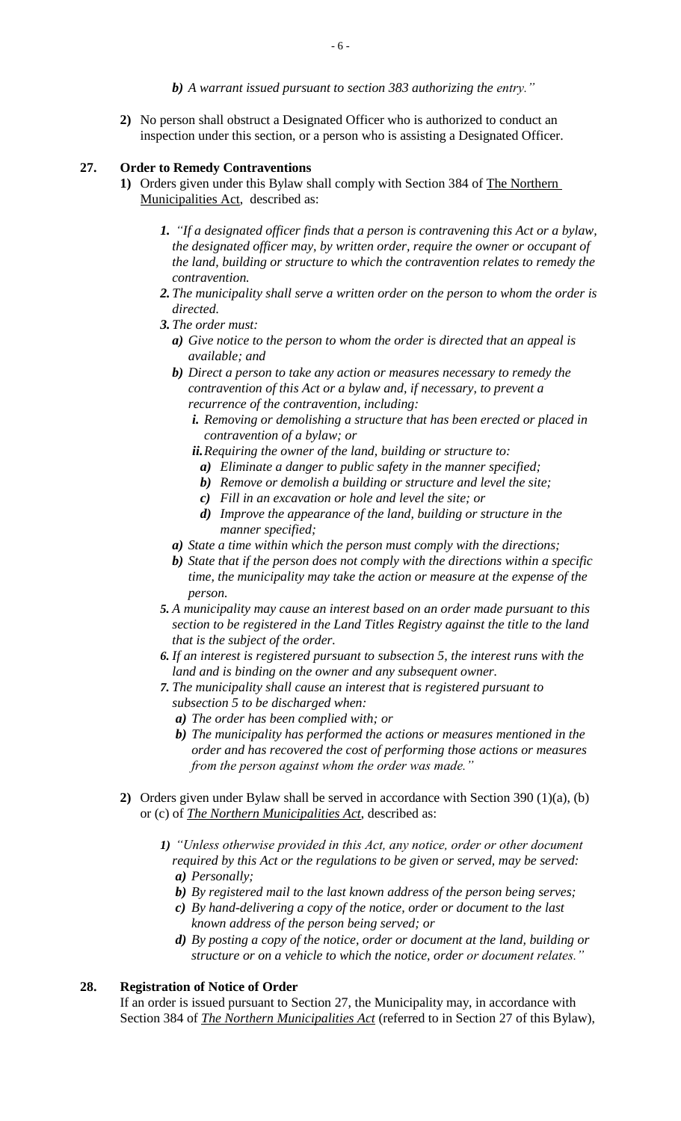- *b) A warrant issued pursuant to section 383 authorizing the entry."*
- **2)** No person shall obstruct a Designated Officer who is authorized to conduct an inspection under this section, or a person who is assisting a Designated Officer.

## **27. Order to Remedy Contraventions**

- **1)** Orders given under this Bylaw shall comply with Section 384 of The Northern Municipalities Act, described as:
	- *1. "If a designated officer finds that a person is contravening this Act or a bylaw, the designated officer may, by written order, require the owner or occupant of the land, building or structure to which the contravention relates to remedy the contravention.*
	- *2. The municipality shall serve a written order on the person to whom the order is directed.*
	- *3. The order must:*
		- *a) Give notice to the person to whom the order is directed that an appeal is available; and*
		- *b) Direct a person to take any action or measures necessary to remedy the contravention of this Act or a bylaw and, if necessary, to prevent a recurrence of the contravention, including:*
			- *i. Removing or demolishing a structure that has been erected or placed in contravention of a bylaw; or*
			- *ii.Requiring the owner of the land, building or structure to:*
				- *a) Eliminate a danger to public safety in the manner specified;*
				- *b) Remove or demolish a building or structure and level the site;*
				- *c) Fill in an excavation or hole and level the site; or*
				- *d) Improve the appearance of the land, building or structure in the manner specified;*
		- *a) State a time within which the person must comply with the directions;*
		- *b) State that if the person does not comply with the directions within a specific time, the municipality may take the action or measure at the expense of the person.*
	- *5. A municipality may cause an interest based on an order made pursuant to this section to be registered in the Land Titles Registry against the title to the land that is the subject of the order.*
	- *6. If an interest is registered pursuant to subsection 5, the interest runs with the land and is binding on the owner and any subsequent owner.*
	- *7. The municipality shall cause an interest that is registered pursuant to subsection 5 to be discharged when:*
		- *a) The order has been complied with; or*
		- *b) The municipality has performed the actions or measures mentioned in the order and has recovered the cost of performing those actions or measures from the person against whom the order was made."*
- **2)** Orders given under Bylaw shall be served in accordance with Section 390 (1)(a), (b) or (c) of *The Northern Municipalities Act*, described as:
	- *1) "Unless otherwise provided in this Act, any notice, order or other document required by this Act or the regulations to be given or served, may be served: a) Personally;*
		- *b) By registered mail to the last known address of the person being serves;*
		- *c) By hand-delivering a copy of the notice, order or document to the last known address of the person being served; or*
		- *d) By posting a copy of the notice, order or document at the land, building or structure or on a vehicle to which the notice, order or document relates."*

### **28. Registration of Notice of Order**

If an order is issued pursuant to Section 27, the Municipality may, in accordance with Section 384 of *The Northern Municipalities Act* (referred to in Section 27 of this Bylaw),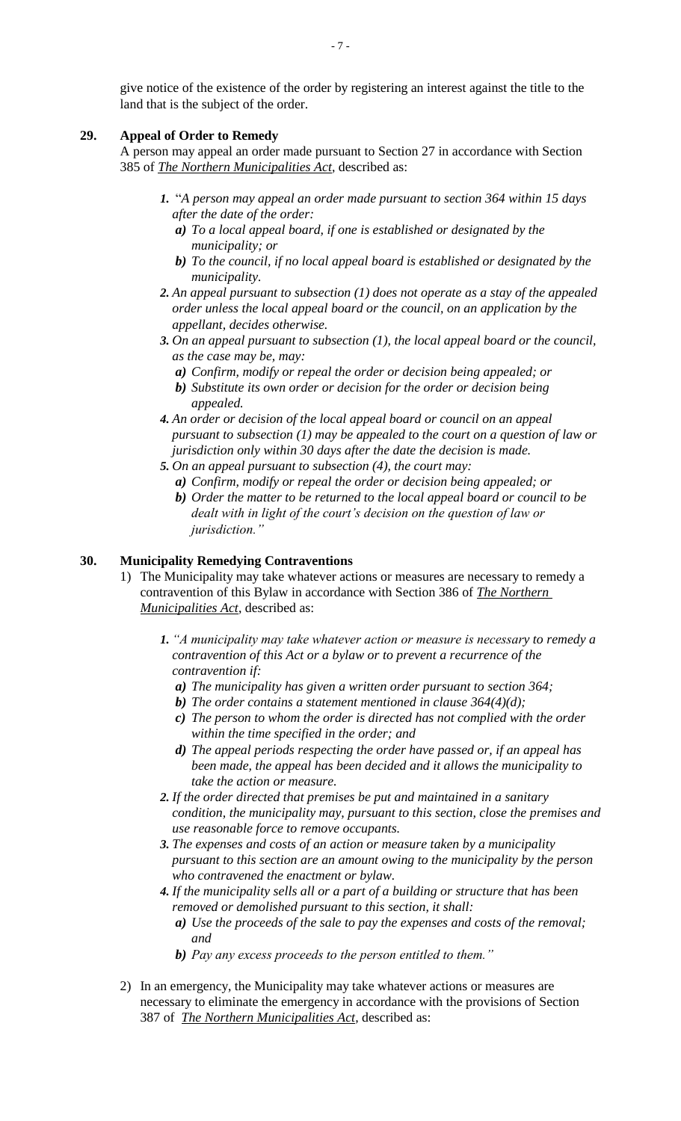give notice of the existence of the order by registering an interest against the title to the land that is the subject of the order.

### **29. Appeal of Order to Remedy**

A person may appeal an order made pursuant to Section 27 in accordance with Section 385 of *The Northern Municipalities Act,* described as:

- *1.* "*A person may appeal an order made pursuant to section 364 within 15 days after the date of the order:*
	- *a) To a local appeal board, if one is established or designated by the municipality; or*
	- *b) To the council, if no local appeal board is established or designated by the municipality.*
- *2. An appeal pursuant to subsection (1) does not operate as a stay of the appealed order unless the local appeal board or the council, on an application by the appellant, decides otherwise.*
- *3. On an appeal pursuant to subsection (1), the local appeal board or the council, as the case may be, may:*
	- *a) Confirm, modify or repeal the order or decision being appealed; or*
	- *b) Substitute its own order or decision for the order or decision being appealed.*
- *4. An order or decision of the local appeal board or council on an appeal pursuant to subsection (1) may be appealed to the court on a question of law or jurisdiction only within 30 days after the date the decision is made.*
- *5. On an appeal pursuant to subsection (4), the court may:*
	- *a) Confirm, modify or repeal the order or decision being appealed; or*
	- *b) Order the matter to be returned to the local appeal board or council to be dealt with in light of the court's decision on the question of law or jurisdiction."*

### **30. Municipality Remedying Contraventions**

- 1) The Municipality may take whatever actions or measures are necessary to remedy a contravention of this Bylaw in accordance with Section 386 of *The Northern Municipalities Act*, described as:
	- *1. "A municipality may take whatever action or measure is necessary to remedy a contravention of this Act or a bylaw or to prevent a recurrence of the contravention if:*
		- *a) The municipality has given a written order pursuant to section 364;*
		- *b) The order contains a statement mentioned in clause 364(4)(d);*
		- *c) The person to whom the order is directed has not complied with the order within the time specified in the order; and*
		- *d) The appeal periods respecting the order have passed or, if an appeal has been made, the appeal has been decided and it allows the municipality to take the action or measure.*
	- *2. If the order directed that premises be put and maintained in a sanitary condition, the municipality may, pursuant to this section, close the premises and use reasonable force to remove occupants.*
	- *3. The expenses and costs of an action or measure taken by a municipality pursuant to this section are an amount owing to the municipality by the person who contravened the enactment or bylaw.*
	- *4. If the municipality sells all or a part of a building or structure that has been removed or demolished pursuant to this section, it shall:*
		- *a) Use the proceeds of the sale to pay the expenses and costs of the removal; and*
		- *b) Pay any excess proceeds to the person entitled to them."*
- 2) In an emergency, the Municipality may take whatever actions or measures are necessary to eliminate the emergency in accordance with the provisions of Section 387 of *The Northern Municipalities Act,* described as: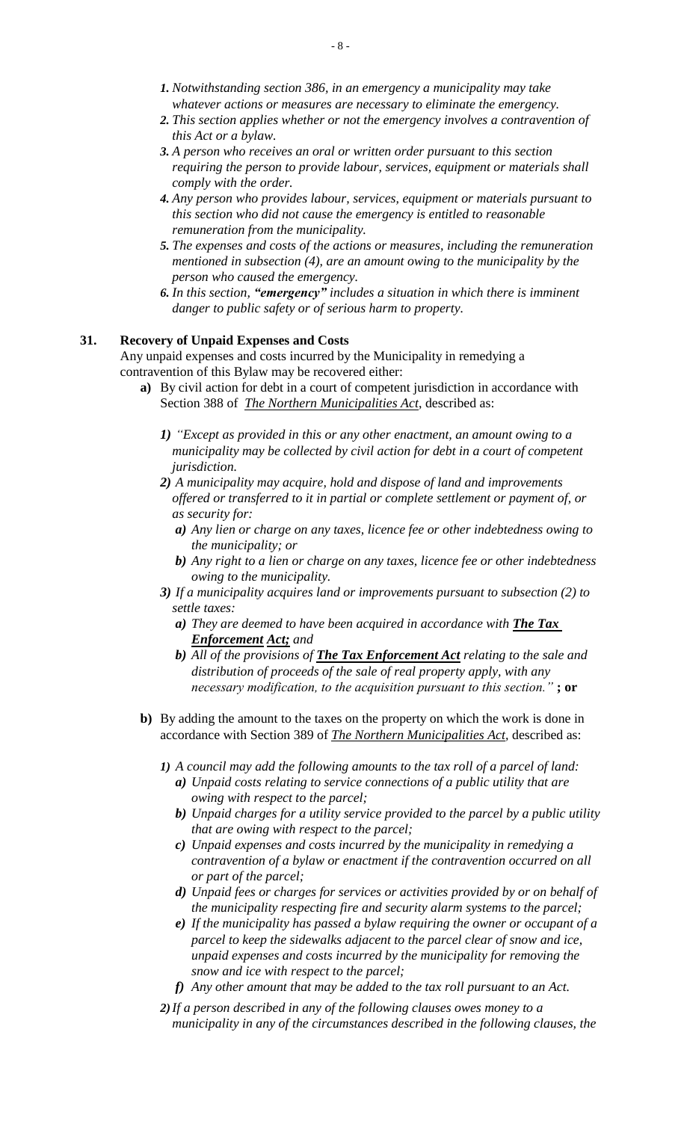- *1. Notwithstanding section 386, in an emergency a municipality may take whatever actions or measures are necessary to eliminate the emergency.*
- *2. This section applies whether or not the emergency involves a contravention of this Act or a bylaw.*
- *3. A person who receives an oral or written order pursuant to this section requiring the person to provide labour, services, equipment or materials shall comply with the order.*
- *4. Any person who provides labour, services, equipment or materials pursuant to this section who did not cause the emergency is entitled to reasonable remuneration from the municipality.*
- *5. The expenses and costs of the actions or measures, including the remuneration mentioned in subsection (4), are an amount owing to the municipality by the person who caused the emergency.*
- *6. In this section, "emergency" includes a situation in which there is imminent danger to public safety or of serious harm to property.*

#### **31. Recovery of Unpaid Expenses and Costs**

Any unpaid expenses and costs incurred by the Municipality in remedying a contravention of this Bylaw may be recovered either:

- **a)** By civil action for debt in a court of competent jurisdiction in accordance with Section 388 of *The Northern Municipalities Act*, described as:
	- *1) "Except as provided in this or any other enactment, an amount owing to a municipality may be collected by civil action for debt in a court of competent jurisdiction.*
	- *2) A municipality may acquire, hold and dispose of land and improvements offered or transferred to it in partial or complete settlement or payment of, or as security for:*
		- *a) Any lien or charge on any taxes, licence fee or other indebtedness owing to the municipality; or*
		- *b) Any right to a lien or charge on any taxes, licence fee or other indebtedness owing to the municipality.*
	- *3) If a municipality acquires land or improvements pursuant to subsection (2) to settle taxes:*
		- *a*) They are deemed to have been acquired in accordance with **The Tax** *Enforcement Act; and*
		- *b) All of the provisions of The Tax Enforcement Act relating to the sale and distribution of proceeds of the sale of real property apply, with any necessary modification, to the acquisition pursuant to this section."* **; or**
- **b)** By adding the amount to the taxes on the property on which the work is done in accordance with Section 389 of *The Northern Municipalities Act,* described as:
	- *1) A council may add the following amounts to the tax roll of a parcel of land:*
		- *a) Unpaid costs relating to service connections of a public utility that are owing with respect to the parcel;*
		- *b) Unpaid charges for a utility service provided to the parcel by a public utility that are owing with respect to the parcel;*
		- *c) Unpaid expenses and costs incurred by the municipality in remedying a contravention of a bylaw or enactment if the contravention occurred on all or part of the parcel;*
		- *d) Unpaid fees or charges for services or activities provided by or on behalf of the municipality respecting fire and security alarm systems to the parcel;*
		- *e) If the municipality has passed a bylaw requiring the owner or occupant of a parcel to keep the sidewalks adjacent to the parcel clear of snow and ice, unpaid expenses and costs incurred by the municipality for removing the snow and ice with respect to the parcel;*
		- *f) Any other amount that may be added to the tax roll pursuant to an Act.*
	- *2)If a person described in any of the following clauses owes money to a municipality in any of the circumstances described in the following clauses, the*